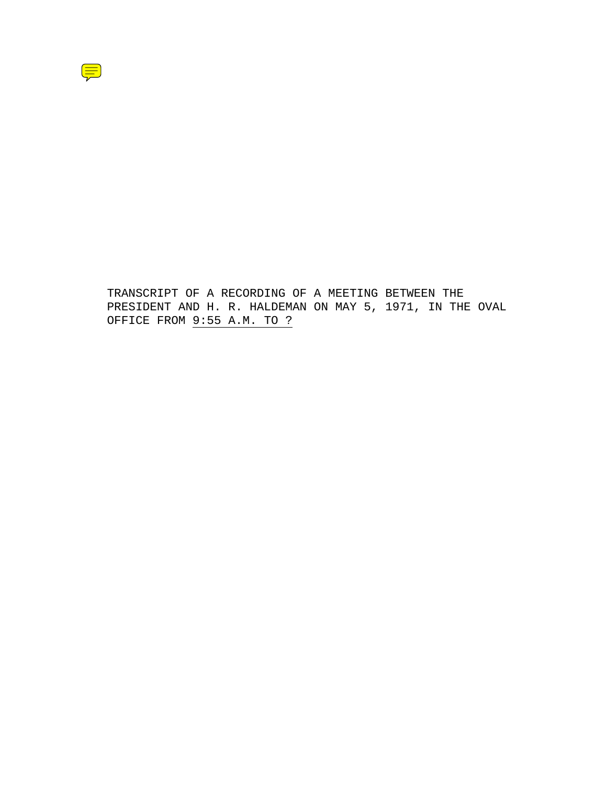

TRANSCRIPT OF A RECORDING OF A MEETING BETWEEN THE PRESIDENT AND H. R. HALDEMAN ON MAY 5, 1971, IN THE OVAL OFFICE FROM 9:55 A.M. TO ?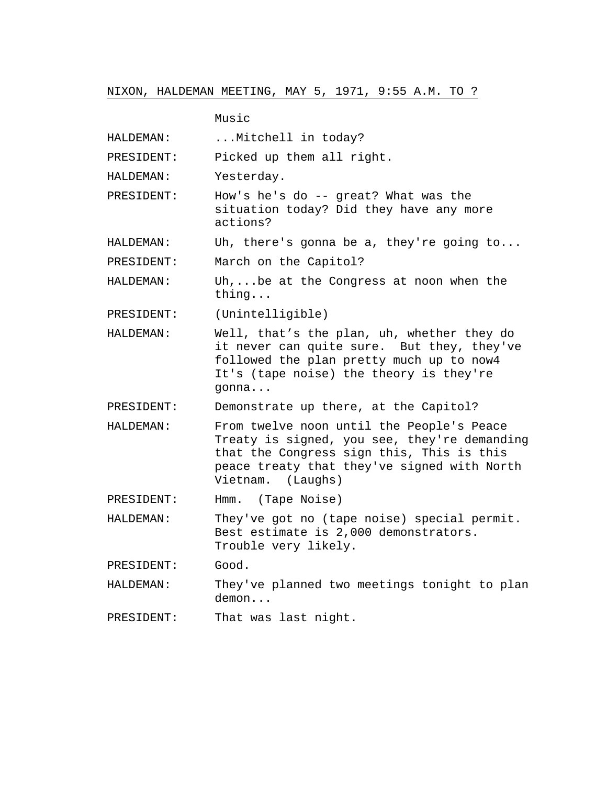Music

- HALDEMAN: ... Mitchell in today?
- PRESIDENT: Picked up them all right.
- HALDEMAN: Yesterday.
- PRESIDENT: How's he's do -- great? What was the situation today? Did they have any more actions?
- HALDEMAN: Uh, there's gonna be a, they're going to...
- PRESIDENT: March on the Capitol?
- HALDEMAN: Uh,...be at the Congress at noon when the thing...
- PRESIDENT: (Unintelligible)
- HALDEMAN: Well, that's the plan, uh, whether they do it never can quite sure. But they, they've followed the plan pretty much up to now4 It's (tape noise) the theory is they're gonna...
- PRESIDENT: Demonstrate up there, at the Capitol?
- HALDEMAN: From twelve noon until the People's Peace Treaty is signed, you see, they're demanding that the Congress sign this, This is this peace treaty that they've signed with North Vietnam. (Laughs)
- PRESIDENT: Hmm. (Tape Noise)
- HALDEMAN: They've got no (tape noise) special permit. Best estimate is 2,000 demonstrators. Trouble very likely.
- PRESIDENT: Good.
- HALDEMAN: They've planned two meetings tonight to plan demon...
- PRESIDENT: That was last night.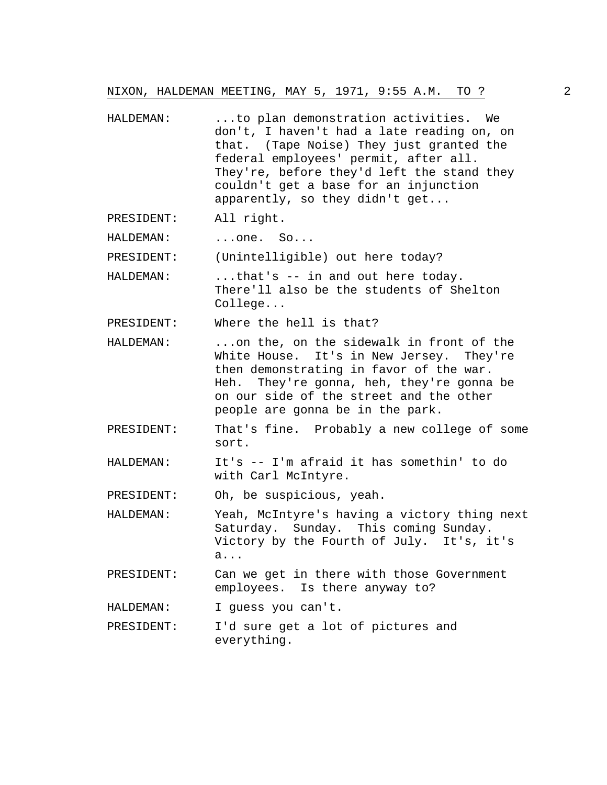- HALDEMAN: ...to plan demonstration activities. We don't, I haven't had a late reading on, on that. (Tape Noise) They just granted the federal employees' permit, after all. They're, before they'd left the stand they couldn't get a base for an injunction apparently, so they didn't get...
- PRESIDENT: All right.
- HALDEMAN: ...one. So...

PRESIDENT: (Unintelligible) out here today?

- HALDEMAN: ...that's -- in and out here today. There'll also be the students of Shelton College...
- PRESIDENT: Where the hell is that?
- HALDEMAN: ...on the, on the sidewalk in front of the White House. It's in New Jersey. They're then demonstrating in favor of the war. Heh. They're gonna, heh, they're gonna be on our side of the street and the other people are gonna be in the park.
- PRESIDENT: That's fine. Probably a new college of some sort.
- HALDEMAN: It's -- I'm afraid it has somethin' to do with Carl McIntyre.
- PRESIDENT: Oh, be suspicious, yeah.
- HALDEMAN: Yeah, McIntyre's having a victory thing next Saturday. Sunday. This coming Sunday. Victory by the Fourth of July. It's, it's a...
- PRESIDENT: Can we get in there with those Government employees. Is there anyway to?
- HALDEMAN: I guess you can't.
- PRESIDENT: I'd sure get a lot of pictures and everything.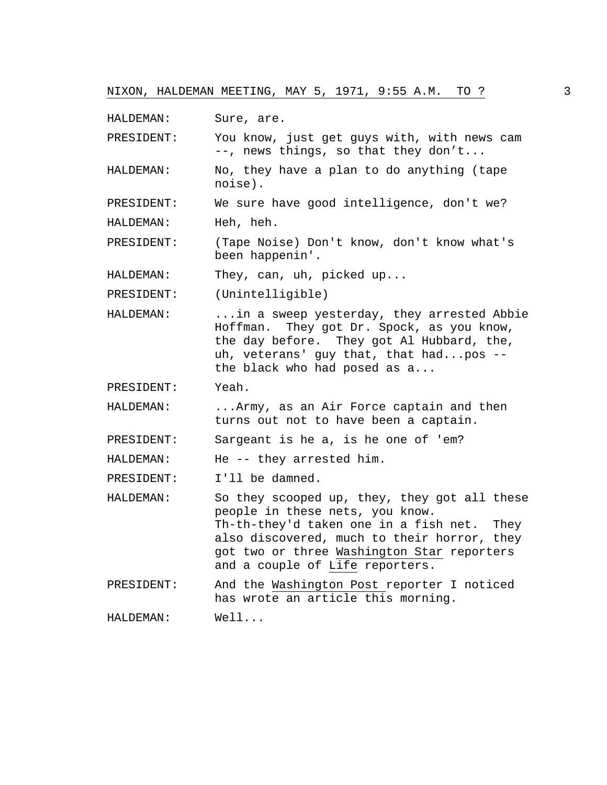HALDEMAN: Sure, are.

PRESIDENT: You know, just get guys with, with news cam --, news things, so that they don't...

- HALDEMAN: No, they have a plan to do anything (tape noise).
- PRESIDENT: We sure have good intelligence, don't we?

HALDEMAN: Heh, heh.

PRESIDENT: (Tape Noise) Don't know, don't know what's been happenin'.

HALDEMAN: They, can, uh, picked up...

PRESIDENT: (Unintelligible)

- HALDEMAN: ...in a sweep yesterday, they arrested Abbie Hoffman. They got Dr. Spock, as you know, the day before. They got Al Hubbard, the, uh, veterans' guy that, that had...pos - the black who had posed as a...
- PRESIDENT: Yeah.

HALDEMAN: ...Army, as an Air Force captain and then turns out not to have been a captain.

PRESIDENT: Sargeant is he a, is he one of 'em?

HALDEMAN: He -- they arrested him.

PRESIDENT: I'll be damned.

HALDEMAN: So they scooped up, they, they got all these people in these nets, you know. Th-th-they'd taken one in a fish net. They also discovered, much to their horror, they got two or three Washington Star reporters and a couple of Life reporters.

PRESIDENT: And the Washington Post reporter I noticed has wrote an article this morning.

HALDEMAN: Well...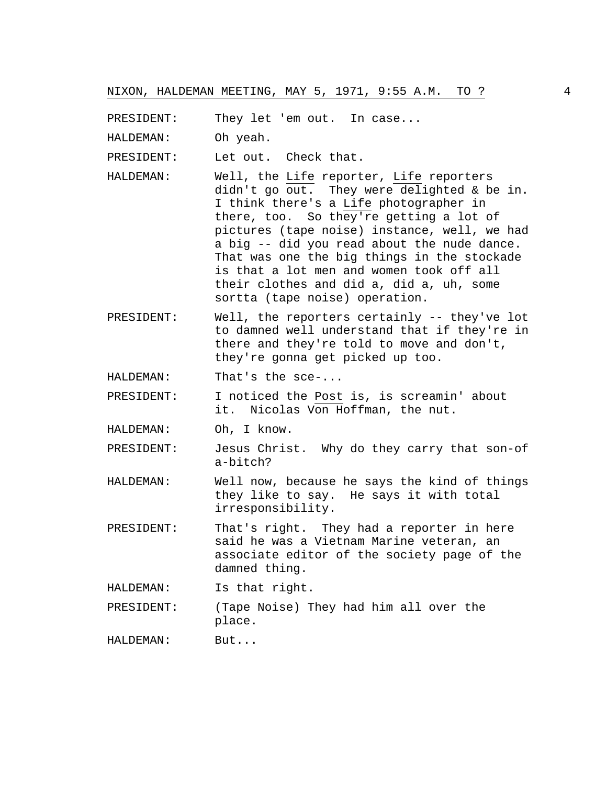PRESIDENT: They let 'em out. In case...

HALDEMAN: Oh yeah.

PRESIDENT: Let out. Check that.

- HALDEMAN: Well, the Life reporter, Life reporters didn't go out. They were delighted & be in. I think there's a Life photographer in there, too. So they're getting a lot of pictures (tape noise) instance, well, we had a big -- did you read about the nude dance. That was one the big things in the stockade is that a lot men and women took off all their clothes and did a, did a, uh, some sortta (tape noise) operation.
- PRESIDENT: Well, the reporters certainly -- they've lot to damned well understand that if they're in there and they're told to move and don't, they're gonna get picked up too.

HALDEMAN: That's the sce-...

PRESIDENT: I noticed the Post is, is screamin' about it. Nicolas Von Hoffman, the nut.

HALDEMAN: Oh, I know.

PRESIDENT: Jesus Christ. Why do they carry that son-of a-bitch?

HALDEMAN: Well now, because he says the kind of things they like to say. He says it with total irresponsibility.

PRESIDENT: That's right. They had a reporter in here said he was a Vietnam Marine veteran, an associate editor of the society page of the damned thing.

HALDEMAN: Is that right.

PRESIDENT: (Tape Noise) They had him all over the place.

HALDEMAN: But...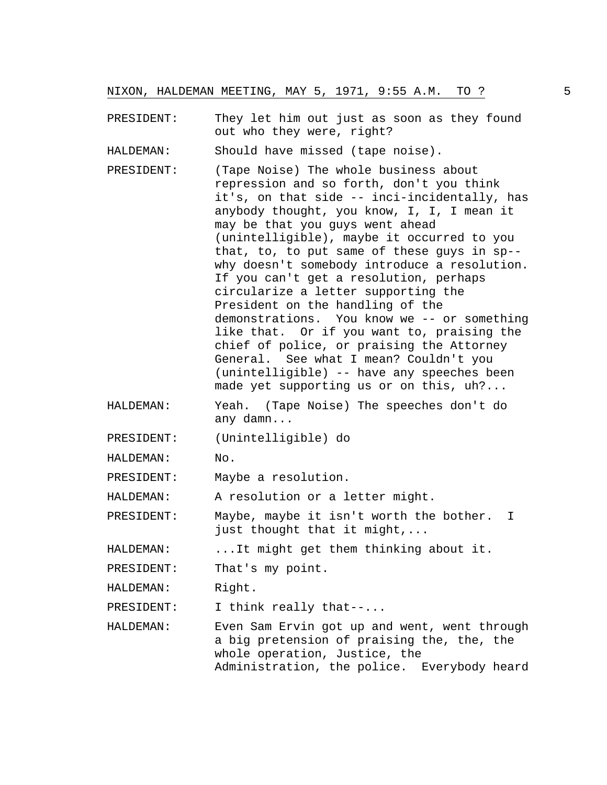PRESIDENT: They let him out just as soon as they found out who they were, right?

HALDEMAN: Should have missed (tape noise).

- PRESIDENT: (Tape Noise) The whole business about repression and so forth, don't you think it's, on that side -- inci-incidentally, has anybody thought, you know, I, I, I mean it may be that you guys went ahead (unintelligible), maybe it occurred to you that, to, to put same of these guys in sp- why doesn't somebody introduce a resolution. If you can't get a resolution, perhaps circularize a letter supporting the President on the handling of the demonstrations. You know we -- or something like that. Or if you want to, praising the chief of police, or praising the Attorney General. See what I mean? Couldn't you (unintelligible) -- have any speeches been made yet supporting us or on this, uh?...
- HALDEMAN: Yeah. (Tape Noise) The speeches don't do any damn...
- PRESIDENT: (Unintelligible) do

HALDEMAN: No.

PRESIDENT: Maybe a resolution.

HALDEMAN: A resolution or a letter might.

PRESIDENT: Maybe, maybe it isn't worth the bother. I just thought that it might,...

HALDEMAN: ...It might get them thinking about it.

PRESIDENT: That's my point.

HALDEMAN: Right.

PRESIDENT: I think really that--...

HALDEMAN: Even Sam Ervin got up and went, went through a big pretension of praising the, the, the whole operation, Justice, the Administration, the police. Everybody heard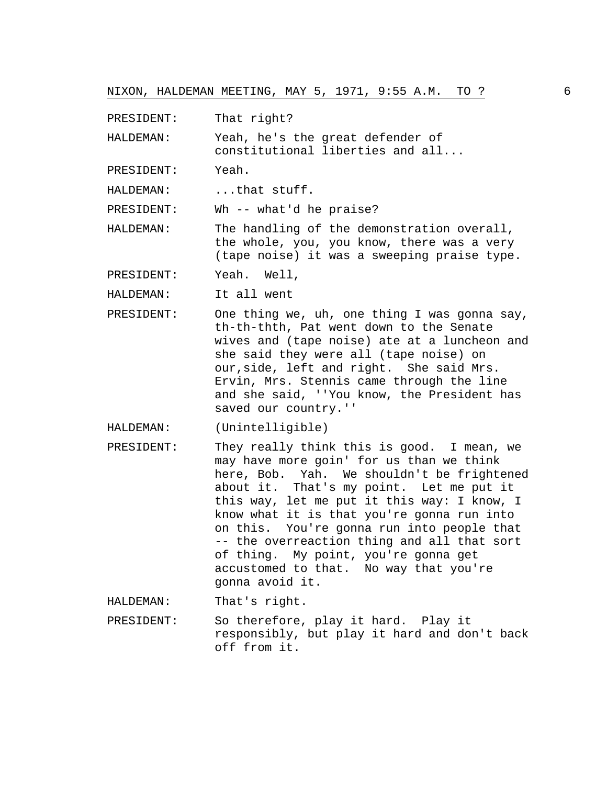PRESIDENT: That right?

HALDEMAN: Yeah, he's the great defender of constitutional liberties and all...

PRESIDENT: Yeah.

HALDEMAN: ...that stuff.

PRESIDENT: Wh -- what'd he praise?

HALDEMAN: The handling of the demonstration overall, the whole, you, you know, there was a very (tape noise) it was a sweeping praise type.

PRESIDENT: Yeah. Well,

HALDEMAN: It all went

PRESIDENT: One thing we, uh, one thing I was gonna say, th-th-thth, Pat went down to the Senate wives and (tape noise) ate at a luncheon and she said they were all (tape noise) on our,side, left and right. She said Mrs. Ervin, Mrs. Stennis came through the line and she said, ''You know, the President has saved our country.''

HALDEMAN: (Unintelligible)

PRESIDENT: They really think this is good. I mean, we may have more goin' for us than we think here, Bob. Yah. We shouldn't be frightened about it. That's my point. Let me put it this way, let me put it this way: I know, I know what it is that you're gonna run into on this. You're gonna run into people that -- the overreaction thing and all that sort of thing. My point, you're gonna get accustomed to that. No way that you're gonna avoid it.

HALDEMAN: That's right.

PRESIDENT: So therefore, play it hard. Play it responsibly, but play it hard and don't back off from it.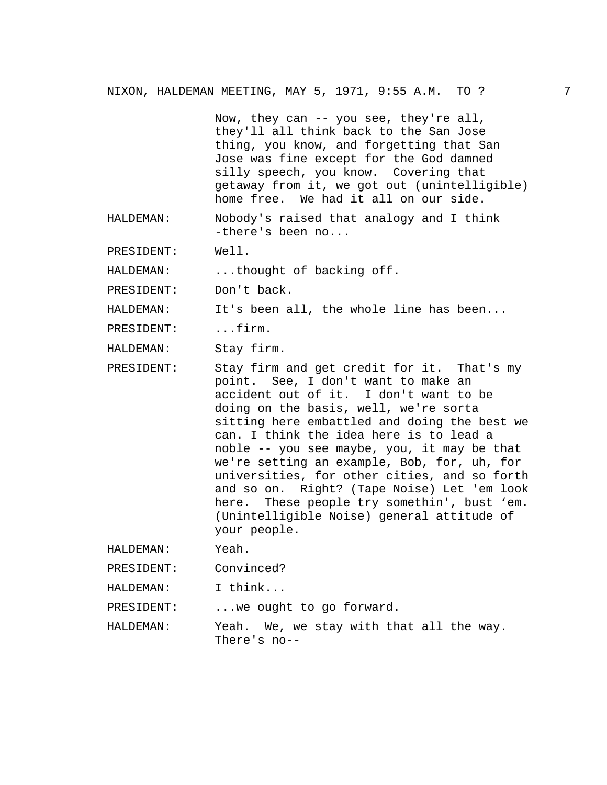Now, they can -- you see, they're all, they'll all think back to the San Jose thing, you know, and forgetting that San Jose was fine except for the God damned silly speech, you know. Covering that getaway from it, we got out (unintelligible) home free. We had it all on our side.

- HALDEMAN: Nobody's raised that analogy and I think -there's been no...
- PRESIDENT: Well.

HALDEMAN: ...thought of backing off.

PRESIDENT: Don't back.

HALDEMAN: It's been all, the whole line has been...

PRESIDENT: ...firm.

HALDEMAN: Stay firm.

PRESIDENT: Stay firm and get credit for it. That's my point. See, I don't want to make an accident out of it. I don't want to be doing on the basis, well, we're sorta sitting here embattled and doing the best we can. I think the idea here is to lead a noble -- you see maybe, you, it may be that we're setting an example, Bob, for, uh, for universities, for other cities, and so forth and so on. Right? (Tape Noise) Let 'em look here. These people try somethin', bust 'em. (Unintelligible Noise) general attitude of your people.

HALDEMAN: Yeah.

PRESIDENT: Convinced?

HALDEMAN: I think...

PRESIDENT: ... we ought to go forward.

HALDEMAN: Yeah. We, we stay with that all the way. There's no--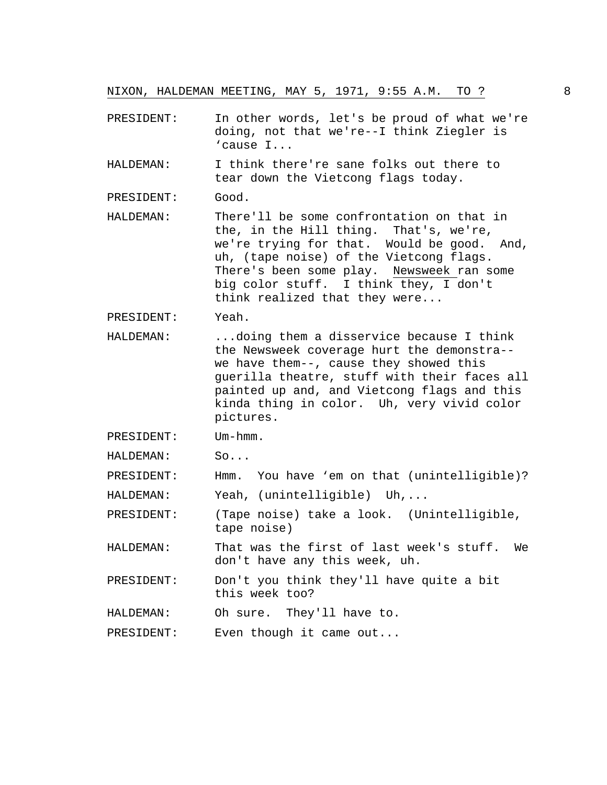- PRESIDENT: In other words, let's be proud of what we're doing, not that we're--I think Ziegler is 'cause I...
- HALDEMAN: I think there're sane folks out there to tear down the Vietcong flags today.

PRESIDENT: Good.

- HALDEMAN: There'll be some confrontation on that in the, in the Hill thing. That's, we're, we're trying for that. Would be good. And, uh, (tape noise) of the Vietcong flags. There's been some play. Newsweek ran some big color stuff. I think they, I don't think realized that they were...
- PRESIDENT: Yeah.
- HALDEMAN: ...doing them a disservice because I think the Newsweek coverage hurt the demonstra- we have them--, cause they showed this guerilla theatre, stuff with their faces all painted up and, and Vietcong flags and this kinda thing in color. Uh, very vivid color pictures.

PRESIDENT: Um-hmm.

HALDEMAN: So...

PRESIDENT: Hmm. You have 'em on that (unintelligible)?

HALDEMAN: Yeah, (unintelligible) Uh,...

PRESIDENT: (Tape noise) take a look. (Unintelligible, tape noise)

- HALDEMAN: That was the first of last week's stuff. We don't have any this week, uh.
- PRESIDENT: Don't you think they'll have quite a bit this week too?

HALDEMAN: Oh sure. They'll have to.

PRESIDENT: Even though it came out...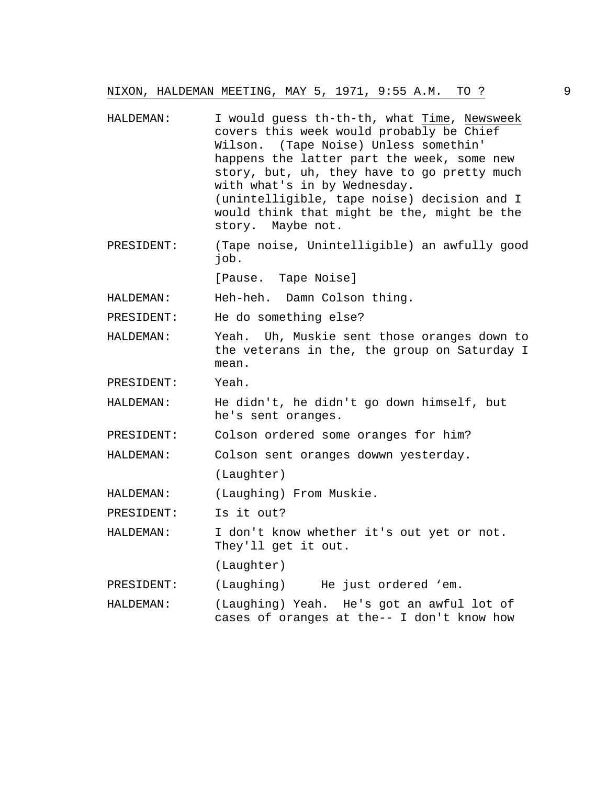- HALDEMAN: I would guess th-th-th, what Time, Newsweek covers this week would probably be Chief Wilson. (Tape Noise) Unless somethin' happens the latter part the week, some new story, but, uh, they have to go pretty much with what's in by Wednesday. (unintelligible, tape noise) decision and I would think that might be the, might be the story. Maybe not.
- PRESIDENT: (Tape noise, Unintelligible) an awfully good job.

[Pause. Tape Noise]

HALDEMAN: Heh-heh. Damn Colson thing.

- PRESIDENT: He do something else?
- HALDEMAN: Yeah. Uh, Muskie sent those oranges down to the veterans in the, the group on Saturday I mean.
- PRESIDENT: Yeah.

HALDEMAN: He didn't, he didn't go down himself, but he's sent oranges.

PRESIDENT: Colson ordered some oranges for him?

HALDEMAN: Colson sent oranges dowwn yesterday.

(Laughter)

HALDEMAN: (Laughing) From Muskie.

PRESIDENT: Is it out?

HALDEMAN: I don't know whether it's out yet or not. They'll get it out.

(Laughter)

PRESIDENT: (Laughing) He just ordered 'em.

HALDEMAN: (Laughing) Yeah. He's got an awful lot of cases of oranges at the-- I don't know how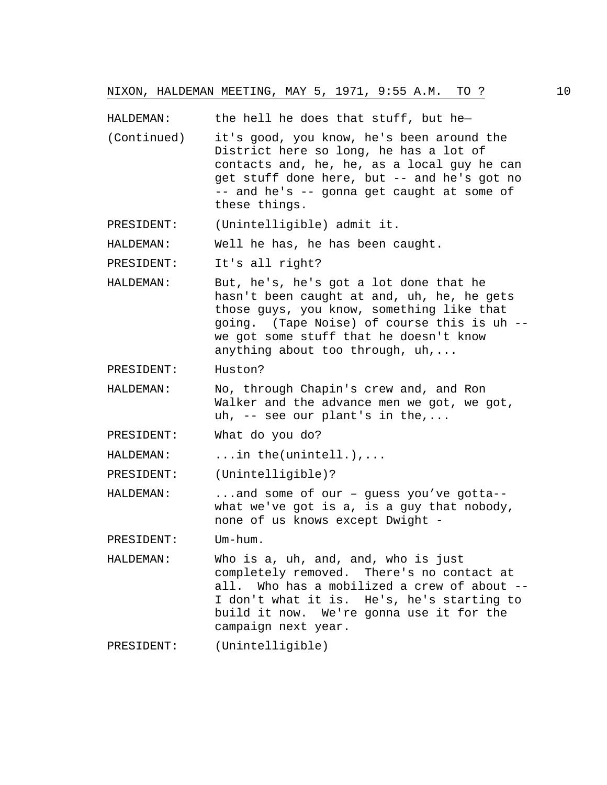HALDEMAN: the hell he does that stuff, but he-

- (Continued) it's good, you know, he's been around the District here so long, he has a lot of contacts and, he, he, as a local guy he can get stuff done here, but -- and he's got no -- and he's -- gonna get caught at some of these things.
- PRESIDENT: (Unintelligible) admit it.

HALDEMAN: Well he has, he has been caught.

PRESIDENT: It's all right?

- HALDEMAN: But, he's, he's got a lot done that he hasn't been caught at and, uh, he, he gets those guys, you know, something like that going. (Tape Noise) of course this is uh - we got some stuff that he doesn't know anything about too through, uh,...
- PRESIDENT: Huston?
- HALDEMAN: No, through Chapin's crew and, and Ron Walker and the advance men we got, we got, uh, -- see our plant's in the,...
- PRESIDENT: What do you do?

HALDEMAN: ...in the(unintell.),...

PRESIDENT: (Unintelligible)?

HALDEMAN: ...and some of our – guess you've gotta- what we've got is a, is a guy that nobody, none of us knows except Dwight -

PRESIDENT: Um-hum.

HALDEMAN: Who is a, uh, and, and, who is just completely removed. There's no contact at all. Who has a mobilized a crew of about -- I don't what it is. He's, he's starting to build it now. We're gonna use it for the campaign next year.

PRESIDENT: (Unintelligible)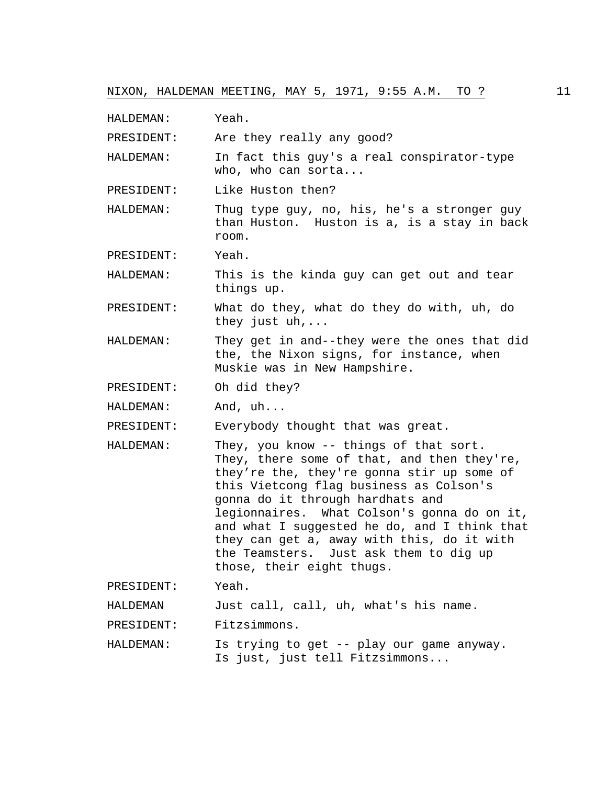HALDEMAN: Yeah.

PRESIDENT: Are they really any good?

HALDEMAN: In fact this guy's a real conspirator-type who, who can sorta...

PRESIDENT: Like Huston then?

HALDEMAN: Thug type guy, no, his, he's a stronger guy than Huston. Huston is a, is a stay in back room.

PRESIDENT: Yeah.

HALDEMAN: This is the kinda guy can get out and tear things up.

- PRESIDENT: What do they, what do they do with, uh, do they just uh,...
- HALDEMAN: They get in and--they were the ones that did the, the Nixon signs, for instance, when Muskie was in New Hampshire.
- PRESIDENT: Oh did they?

HALDEMAN: And, uh...

PRESIDENT: Everybody thought that was great.

HALDEMAN: They, you know -- things of that sort. They, there some of that, and then they're, they're the, they're gonna stir up some of this Vietcong flag business as Colson's gonna do it through hardhats and legionnaires. What Colson's gonna do on it, and what I suggested he do, and I think that they can get a, away with this, do it with the Teamsters. Just ask them to dig up those, their eight thugs.

PRESIDENT: Yeah.

HALDEMAN Just call, call, uh, what's his name.

PRESIDENT: Fitzsimmons.

HALDEMAN: Is trying to get -- play our game anyway. Is just, just tell Fitzsimmons...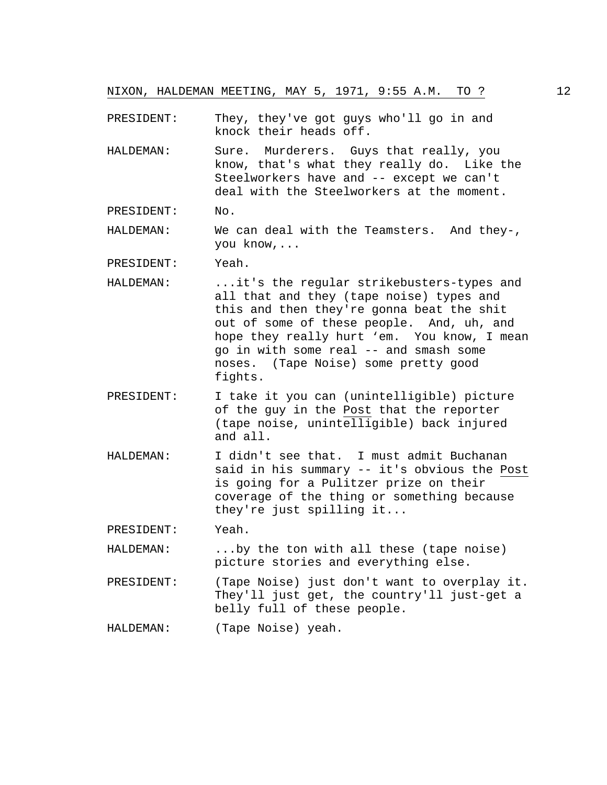- PRESIDENT: They, they've got guys who'll go in and knock their heads off.
- HALDEMAN: Sure. Murderers. Guys that really, you know, that's what they really do. Like the Steelworkers have and -- except we can't deal with the Steelworkers at the moment.
- PRESIDENT: No.
- HALDEMAN: We can deal with the Teamsters. And they-, you know,...
- PRESIDENT: Yeah.
- HALDEMAN: ...it's the regular strikebusters-types and all that and they (tape noise) types and this and then they're gonna beat the shit out of some of these people. And, uh, and hope they really hurt 'em. You know, I mean go in with some real -- and smash some noses. (Tape Noise) some pretty good fights.
- PRESIDENT: I take it you can (unintelligible) picture of the guy in the Post that the reporter (tape noise, unintelligible) back injured and all.
- HALDEMAN: I didn't see that. I must admit Buchanan said in his summary -- it's obvious the Post is going for a Pulitzer prize on their coverage of the thing or something because they're just spilling it...

PRESIDENT: Yeah.

- HALDEMAN: ...by the ton with all these (tape noise) picture stories and everything else.
- PRESIDENT: (Tape Noise) just don't want to overplay it. They'll just get, the country'll just-get a belly full of these people.

HALDEMAN: (Tape Noise) yeah.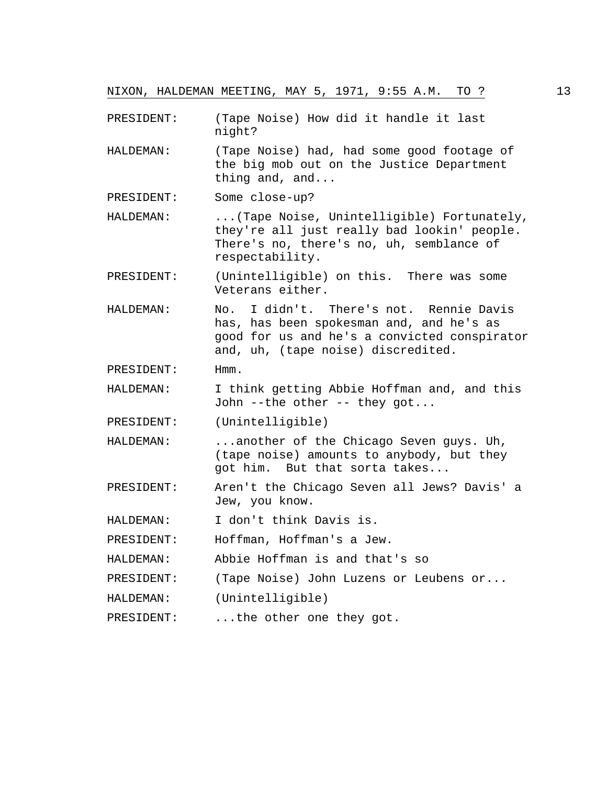- PRESIDENT: (Tape Noise) How did it handle it last night?
- HALDEMAN: (Tape Noise) had, had some good footage of the big mob out on the Justice Department thing and, and...
- PRESIDENT: Some close-up?
- HALDEMAN: ...(Tape Noise, Unintelligible) Fortunately, they're all just really bad lookin' people. There's no, there's no, uh, semblance of respectability.
- PRESIDENT: (Unintelligible) on this. There was some Veterans either.
- HALDEMAN: No. I didn't. There's not. Rennie Davis has, has been spokesman and, and he's as good for us and he's a convicted conspirator and, uh, (tape noise) discredited.
- PRESIDENT: Hmm.
- HALDEMAN: I think getting Abbie Hoffman and, and this John --the other -- they got...
- PRESIDENT: (Unintelligible)
- HALDEMAN: ...another of the Chicago Seven guys. Uh, (tape noise) amounts to anybody, but they got him. But that sorta takes...
- PRESIDENT: Aren't the Chicago Seven all Jews? Davis' a Jew, you know.

HALDEMAN: I don't think Davis is.

PRESIDENT: Hoffman, Hoffman's a Jew.

HALDEMAN: Abbie Hoffman is and that's so

- PRESIDENT: (Tape Noise) John Luzens or Leubens or...
- HALDEMAN: (Unintelligible)
- PRESIDENT: ...the other one they got.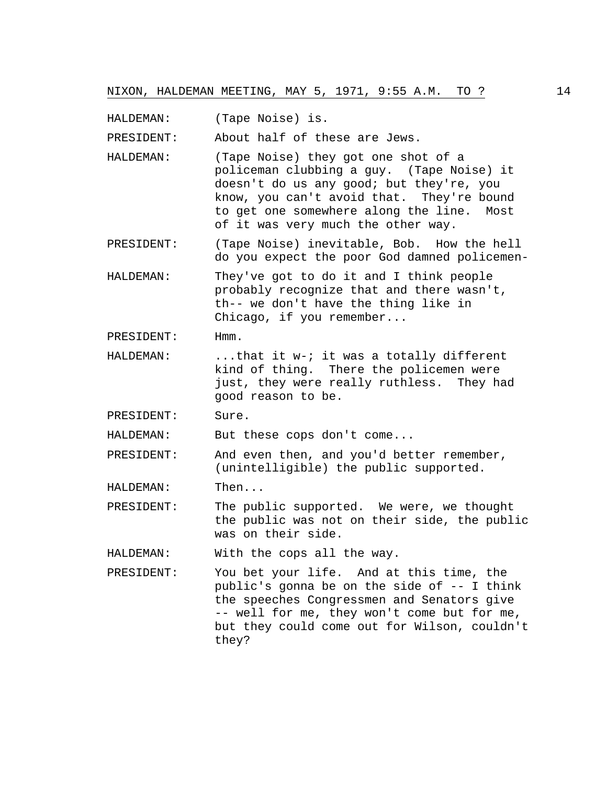HALDEMAN: (Tape Noise) is.

PRESIDENT: About half of these are Jews.

- HALDEMAN: (Tape Noise) they got one shot of a policeman clubbing a guy. (Tape Noise) it doesn't do us any good; but they're, you know, you can't avoid that. They're bound to get one somewhere along the line. Most of it was very much the other way.
- PRESIDENT: (Tape Noise) inevitable, Bob. How the hell do you expect the poor God damned policemen-
- HALDEMAN: They've got to do it and I think people probably recognize that and there wasn't, th-- we don't have the thing like in Chicago, if you remember...
- PRESIDENT: Hmm.
- HALDEMAN: ...that it w-; it was a totally different kind of thing. There the policemen were just, they were really ruthless. They had good reason to be.
- PRESIDENT: Sure.

HALDEMAN: But these cops don't come...

PRESIDENT: And even then, and you'd better remember, (unintelligible) the public supported.

HALDEMAN: Then...

PRESIDENT: The public supported. We were, we thought the public was not on their side, the public was on their side.

HALDEMAN: With the cops all the way.

PRESIDENT: You bet your life. And at this time, the public's gonna be on the side of -- I think the speeches Congressmen and Senators give -- well for me, they won't come but for me, but they could come out for Wilson, couldn't they?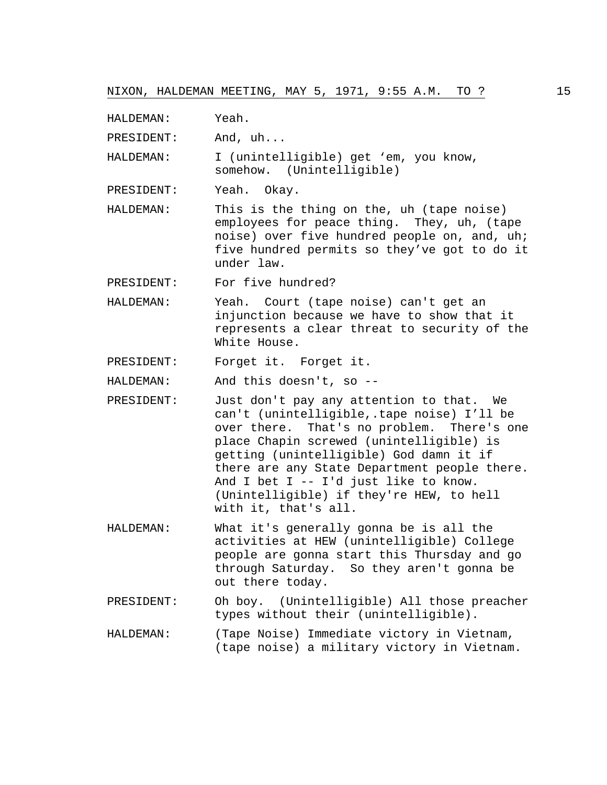HALDEMAN: Yeah.

PRESIDENT: And, uh...

HALDEMAN: I (unintelligible) get 'em, you know, somehow. (Unintelligible)

PRESIDENT: Yeah. Okay.

HALDEMAN: This is the thing on the, uh (tape noise) employees for peace thing. They, uh, (tape noise) over five hundred people on, and, uh; five hundred permits so they've got to do it under law.

PRESIDENT: For five hundred?

HALDEMAN: Yeah. Court (tape noise) can't get an injunction because we have to show that it represents a clear threat to security of the White House.

PRESIDENT: Forget it. Forget it.

HALDEMAN: And this doesn't, so --

PRESIDENT: Just don't pay any attention to that. We can't (unintelligible,.tape noise) I'll be over there. That's no problem. There's one place Chapin screwed (unintelligible) is getting (unintelligible) God damn it if there are any State Department people there. And I bet I -- I'd just like to know. (Unintelligible) if they're HEW, to hell with it, that's all.

- HALDEMAN: What it's generally gonna be is all the activities at HEW (unintelligible) College people are gonna start this Thursday and go through Saturday. So they aren't gonna be out there today.
- PRESIDENT: Oh boy. (Unintelligible) All those preacher types without their (unintelligible).
- HALDEMAN: (Tape Noise) Immediate victory in Vietnam, (tape noise) a military victory in Vietnam.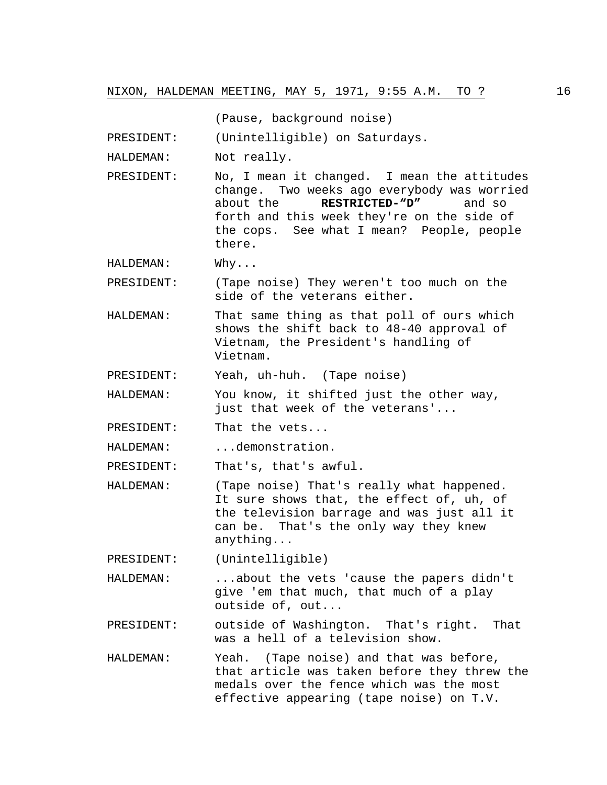(Pause, background noise)

PRESIDENT: (Unintelligible) on Saturdays.

- HALDEMAN: Not really.
- PRESIDENT: No, I mean it changed. I mean the attitudes change. Two weeks ago everybody was worried about the **RESTRICTED-"D"** and so forth and this week they're on the side of the cops. See what I mean? People, people there.
- HALDEMAN: Why...
- PRESIDENT: (Tape noise) They weren't too much on the side of the veterans either.
- HALDEMAN: That same thing as that poll of ours which shows the shift back to 48-40 approval of Vietnam, the President's handling of Vietnam.
- PRESIDENT: Yeah, uh-huh. (Tape noise)
- HALDEMAN: You know, it shifted just the other way, just that week of the veterans'...
- PRESIDENT: That the vets...
- HALDEMAN: ...demonstration.

PRESIDENT: That's, that's awful.

- HALDEMAN: (Tape noise) That's really what happened. It sure shows that, the effect of, uh, of the television barrage and was just all it can be. That's the only way they knew anything...
- PRESIDENT: (Unintelligible)
- HALDEMAN: ...about the vets 'cause the papers didn't give 'em that much, that much of a play outside of, out...
- PRESIDENT: outside of Washington. That's right. That was a hell of a television show.
- HALDEMAN: Yeah. (Tape noise) and that was before, that article was taken before they threw the medals over the fence which was the most effective appearing (tape noise) on T.V.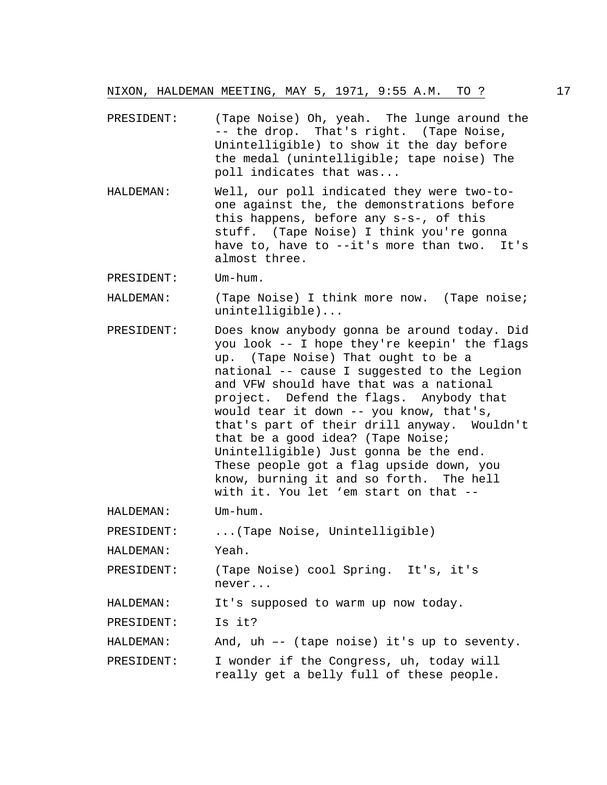- PRESIDENT: (Tape Noise) Oh, yeah. The lunge around the -- the drop. That's right. (Tape Noise, Unintelligible) to show it the day before the medal (unintelligible; tape noise) The poll indicates that was...
- HALDEMAN: Well, our poll indicated they were two-toone against the, the demonstrations before this happens, before any s-s-, of this stuff. (Tape Noise) I think you're gonna have to, have to --it's more than two. It's almost three.
- PRESIDENT: Um-hum.
- HALDEMAN: (Tape Noise) I think more now. (Tape noise; unintelligible)...
- PRESIDENT: Does know anybody gonna be around today. Did you look -- I hope they're keepin' the flags up. (Tape Noise) That ought to be a national -- cause I suggested to the Legion and VFW should have that was a national project. Defend the flags. Anybody that would tear it down -- you know, that's, that's part of their drill anyway. Wouldn't that be a good idea? (Tape Noise; Unintelligible) Just gonna be the end. These people got a flag upside down, you know, burning it and so forth. The hell with it. You let 'em start on that --

HALDEMAN: Um-hum.

PRESIDENT: ...(Tape Noise, Unintelligible)

HALDEMAN: Yeah.

PRESIDENT: (Tape Noise) cool Spring. It's, it's never...

HALDEMAN: It's supposed to warm up now today.

PRESIDENT: Is it?

HALDEMAN: And, uh -- (tape noise) it's up to seventy.

PRESIDENT: I wonder if the Congress, uh, today will really get a belly full of these people.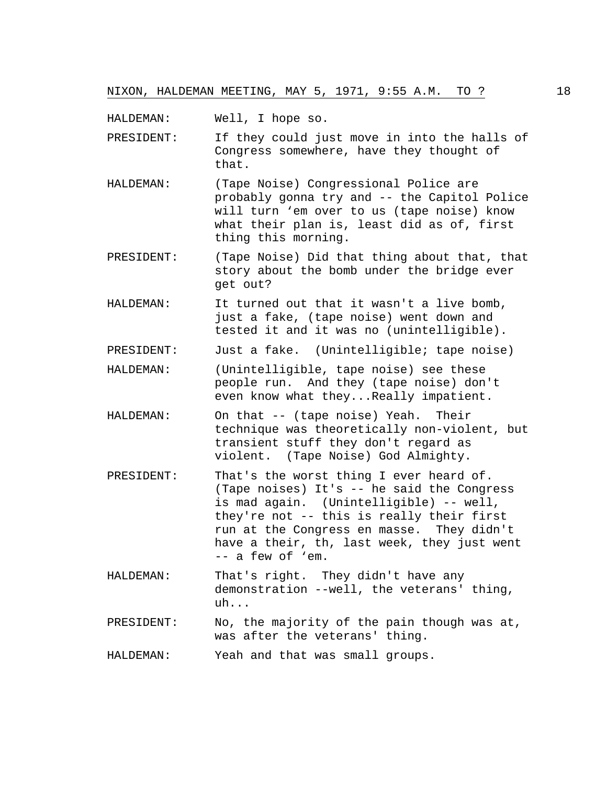HALDEMAN: Well, I hope so.

- PRESIDENT: If they could just move in into the halls of Congress somewhere, have they thought of that.
- HALDEMAN: (Tape Noise) Congressional Police are probably gonna try and -- the Capitol Police will turn 'em over to us (tape noise) know what their plan is, least did as of, first thing this morning.
- PRESIDENT: (Tape Noise) Did that thing about that, that story about the bomb under the bridge ever get out?
- HALDEMAN: It turned out that it wasn't a live bomb, just a fake, (tape noise) went down and tested it and it was no (unintelligible).
- PRESIDENT: Just a fake. (Unintelligible; tape noise)
- HALDEMAN: (Unintelligible, tape noise) see these people run. And they (tape noise) don't even know what they...Really impatient.
- HALDEMAN: On that -- (tape noise) Yeah. Their technique was theoretically non-violent, but transient stuff they don't regard as violent. (Tape Noise) God Almighty.
- PRESIDENT: That's the worst thing I ever heard of. (Tape noises) It's -- he said the Congress is mad again. (Unintelligible) -- well, they're not -- this is really their first run at the Congress en masse. They didn't have a their, th, last week, they just went -- a few of 'em.
- HALDEMAN: That's right. They didn't have any demonstration --well, the veterans' thing, uh...
- PRESIDENT: No, the majority of the pain though was at, was after the veterans' thing.
- HALDEMAN: Yeah and that was small groups.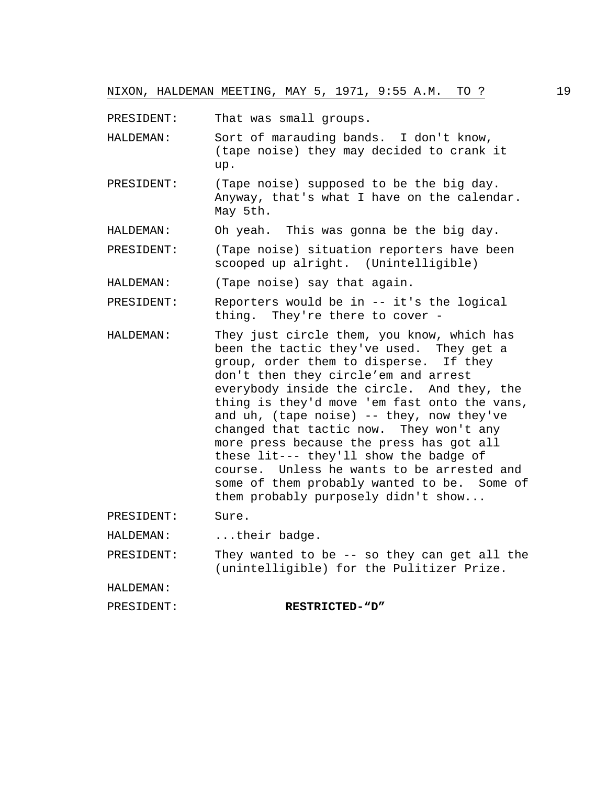PRESIDENT: That was small groups.

HALDEMAN: Sort of marauding bands. I don't know, (tape noise) they may decided to crank it up.

- PRESIDENT: (Tape noise) supposed to be the big day. Anyway, that's what I have on the calendar. May 5th.
- HALDEMAN: Oh yeah. This was gonna be the big day.

PRESIDENT: (Tape noise) situation reporters have been scooped up alright. (Unintelligible)

HALDEMAN: (Tape noise) say that again.

PRESIDENT: Reporters would be in -- it's the logical thing. They're there to cover -

HALDEMAN: They just circle them, you know, which has been the tactic they've used. They get a group, order them to disperse. If they don't then they circle'em and arrest everybody inside the circle. And they, the thing is they'd move 'em fast onto the vans, and uh, (tape noise) -- they, now they've changed that tactic now. They won't any more press because the press has got all these lit--- they'll show the badge of course. Unless he wants to be arrested and some of them probably wanted to be. Some of them probably purposely didn't show...

PRESIDENT: Sure.

HALDEMAN: ...their badge.

PRESIDENT: They wanted to be -- so they can get all the (unintelligible) for the Pulitizer Prize.

HALDEMAN:

PRESIDENT: **RESTRICTED-"D"**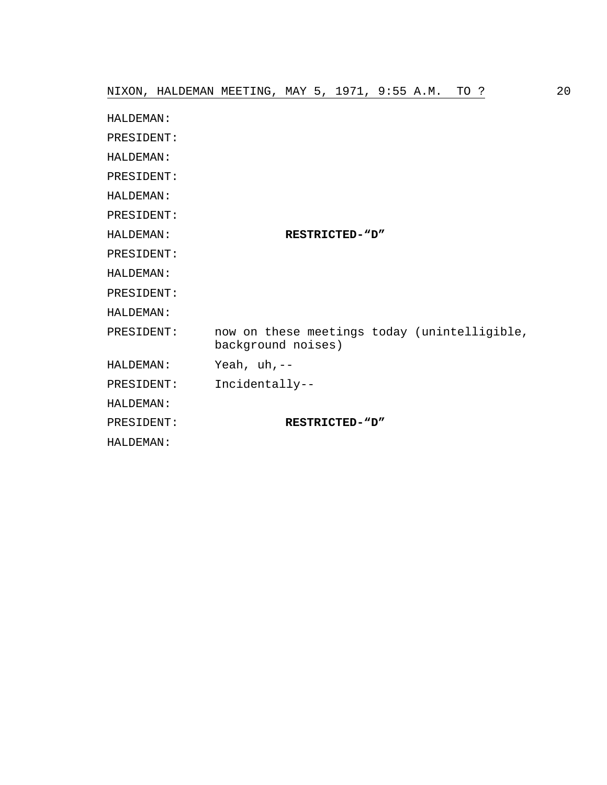NIXON, HALDEMAN MEETING, MAY 5, 1971, 9:55 A.M. TO ? 20 HALDEMAN: PRESIDENT: HALDEMAN: PRESIDENT: HALDEMAN: PRESIDENT: HALDEMAN: **RESTRICTED-"D"**  PRESIDENT: HALDEMAN: PRESIDENT: HALDEMAN: PRESIDENT: now on these meetings today (unintelligible, background noises) HALDEMAN: Yeah, uh,--PRESIDENT: Incidentally-- HALDEMAN: PRESIDENT: **RESTRICTED-"D"**  HALDEMAN: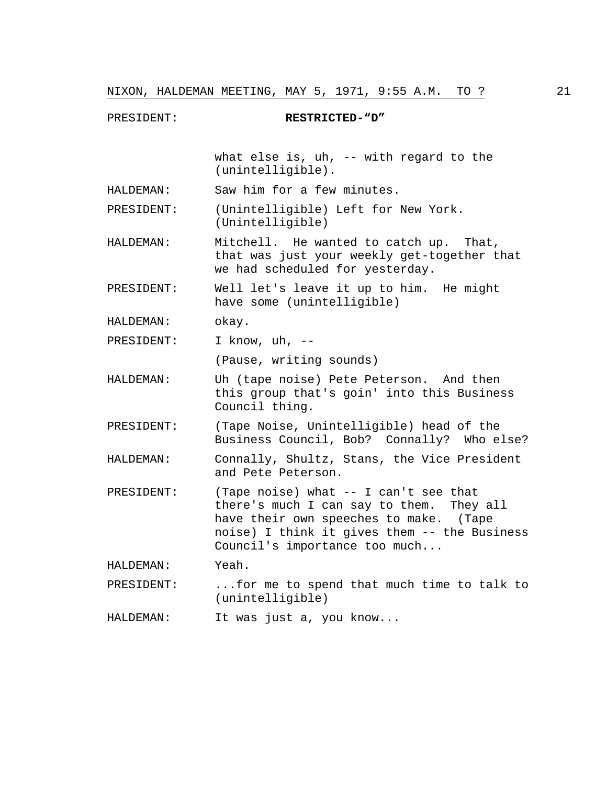what else is, uh, -- with regard to the (unintelligible). HALDEMAN: Saw him for a few minutes. PRESIDENT: (Unintelligible) Left for New York. (Unintelligible)

PRESIDENT: **RESTRICTED-"D"** 

HALDEMAN: Mitchell. He wanted to catch up. That, that was just your weekly get-together that we had scheduled for yesterday.

PRESIDENT: Well let's leave it up to him. He might have some (unintelligible)

HALDEMAN: okay.

PRESIDENT: I know, uh, --

(Pause, writing sounds)

- HALDEMAN: Uh (tape noise) Pete Peterson. And then this group that's goin' into this Business Council thing.
- PRESIDENT: (Tape Noise, Unintelligible) head of the Business Council, Bob? Connally? Who else?
- HALDEMAN: Connally, Shultz, Stans, the Vice President and Pete Peterson.
- PRESIDENT: (Tape noise) what -- I can't see that there's much I can say to them. They all have their own speeches to make. (Tape noise) I think it gives them -- the Business Council's importance too much...

HALDEMAN: Yeah.

PRESIDENT: ...for me to spend that much time to talk to (unintelligible)

HALDEMAN: It was just a, you know...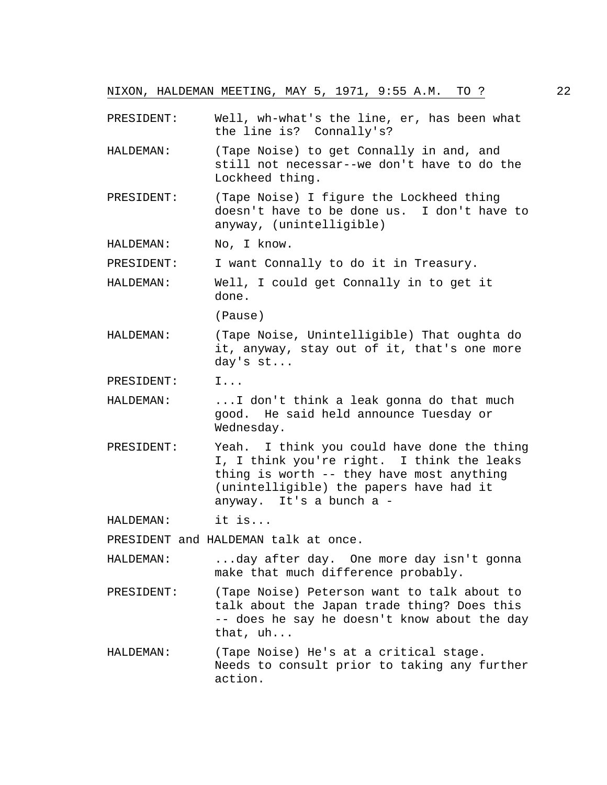- PRESIDENT: Well, wh-what's the line, er, has been what the line is? Connally's?
- HALDEMAN: (Tape Noise) to get Connally in and, and still not necessar--we don't have to do the Lockheed thing.
- PRESIDENT: (Tape Noise) I figure the Lockheed thing doesn't have to be done us. I don't have to anyway, (unintelligible)
- HALDEMAN: No, I know.

PRESIDENT: I want Connally to do it in Treasury.

HALDEMAN: Well, I could get Connally in to get it done.

(Pause)

- HALDEMAN: (Tape Noise, Unintelligible) That oughta do it, anyway, stay out of it, that's one more day's st...
- PRESIDENT: I...
- HALDEMAN: ...I don't think a leak gonna do that much good. He said held announce Tuesday or Wednesday.
- PRESIDENT: Yeah. I think you could have done the thing I, I think you're right. I think the leaks thing is worth -- they have most anything (unintelligible) the papers have had it anyway. It's a bunch a -
- HALDEMAN: it is...

PRESIDENT and HALDEMAN talk at once.

- HALDEMAN: ...day after day. One more day isn't gonna make that much difference probably.
- PRESIDENT: (Tape Noise) Peterson want to talk about to talk about the Japan trade thing? Does this -- does he say he doesn't know about the day that, uh...
- HALDEMAN: (Tape Noise) He's at a critical stage. Needs to consult prior to taking any further action.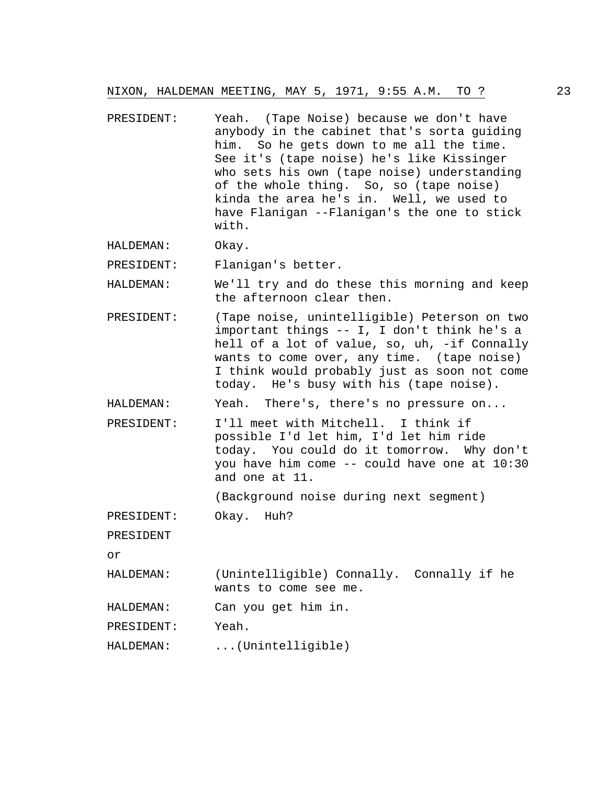- PRESIDENT: Yeah. (Tape Noise) because we don't have anybody in the cabinet that's sorta guiding him. So he gets down to me all the time. See it's (tape noise) he's like Kissinger who sets his own (tape noise) understanding of the whole thing. So, so (tape noise) kinda the area he's in. Well, we used to have Flanigan --Flanigan's the one to stick with.
- HALDEMAN: Okay.
- PRESIDENT: Flanigan's better.
- HALDEMAN: We'll try and do these this morning and keep the afternoon clear then.
- PRESIDENT: (Tape noise, unintelligible) Peterson on two important things -- I, I don't think he's a hell of a lot of value, so, uh, -if Connally wants to come over, any time. (tape noise) I think would probably just as soon not come today. He's busy with his (tape noise).
- HALDEMAN: Yeah. There's, there's no pressure on...
- PRESIDENT: I'll meet with Mitchell. I think if possible I'd let him, I'd let him ride today. You could do it tomorrow. Why don't you have him come -- could have one at 10:30 and one at 11.

(Background noise during next segment)

PRESIDENT: Okay. Huh?

PRESIDENT

or

HALDEMAN: (Unintelligible) Connally. Connally if he wants to come see me.

HALDEMAN: Can you get him in.

PRESIDENT: Yeah.

HALDEMAN: ...(Unintelligible)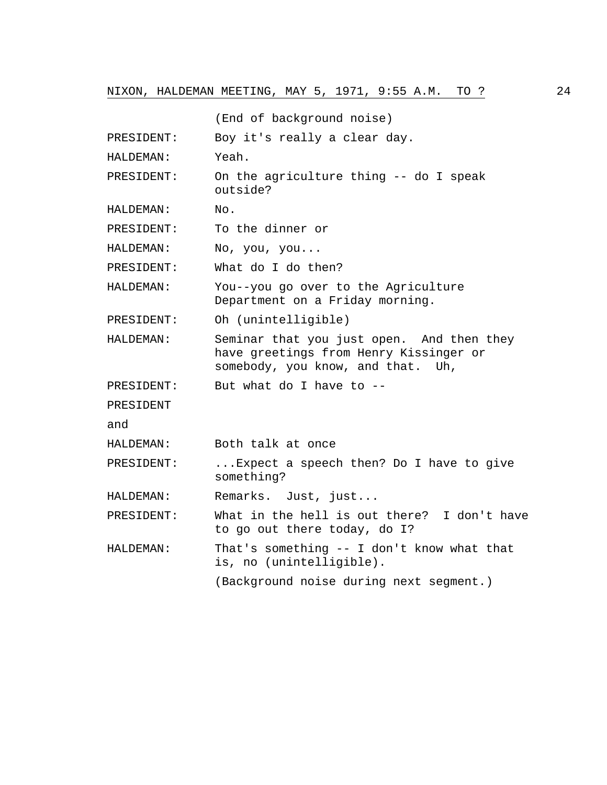(End of background noise)

PRESIDENT: Boy it's really a clear day.

HALDEMAN: Yeah.

PRESIDENT: On the agriculture thing -- do I speak outside?

HALDEMAN: No.

PRESIDENT: To the dinner or

HALDEMAN: No, you, you...

PRESIDENT: What do I do then?

HALDEMAN: You--you go over to the Agriculture Department on a Friday morning.

PRESIDENT: Oh (unintelligible)

HALDEMAN: Seminar that you just open. And then they have greetings from Henry Kissinger or somebody, you know, and that. Uh,

```
PRESIDENT: But what do I have to --
```
PRESIDENT

and

HALDEMAN: Both talk at once

PRESIDENT: ... Expect a speech then? Do I have to give something?

HALDEMAN: Remarks. Just, just...

PRESIDENT: What in the hell is out there? I don't have to go out there today, do I?

HALDEMAN: That's something -- I don't know what that is, no (unintelligible).

(Background noise during next segment.)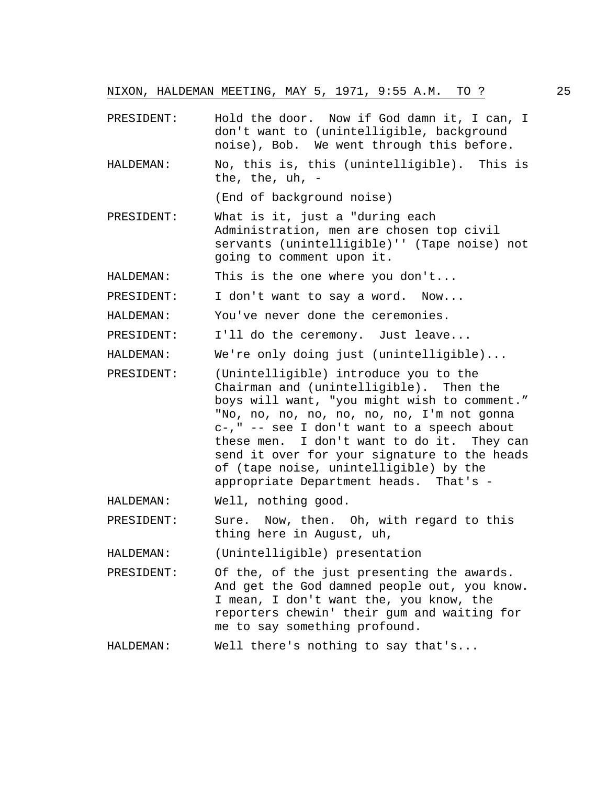- PRESIDENT: Hold the door. Now if God damn it, I can, I don't want to (unintelligible, background noise), Bob. We went through this before.
- HALDEMAN: No, this is, this (unintelligible). This is the, the, uh, -

(End of background noise)

PRESIDENT: What is it, just a "during each Administration, men are chosen top civil servants (unintelligible)'' (Tape noise) not going to comment upon it.

HALDEMAN: This is the one where you don't...

PRESIDENT: I don't want to say a word. Now...

HALDEMAN: You've never done the ceremonies.

PRESIDENT: I'll do the ceremony. Just leave...

HALDEMAN: We're only doing just (unintelligible)...

PRESIDENT: (Unintelligible) introduce you to the Chairman and (unintelligible). Then the boys will want, "you might wish to comment." "No, no, no, no, no, no, no, I'm not gonna c-," -- see I don't want to a speech about these men. I don't want to do it. They can send it over for your signature to the heads of (tape noise, unintelligible) by the appropriate Department heads. That's -

HALDEMAN: Well, nothing good.

PRESIDENT: Sure. Now, then. Oh, with regard to this thing here in August, uh,

HALDEMAN: (Unintelligible) presentation

PRESIDENT: Of the, of the just presenting the awards. And get the God damned people out, you know. I mean, I don't want the, you know, the reporters chewin' their gum and waiting for me to say something profound.

HALDEMAN: Well there's nothing to say that's...